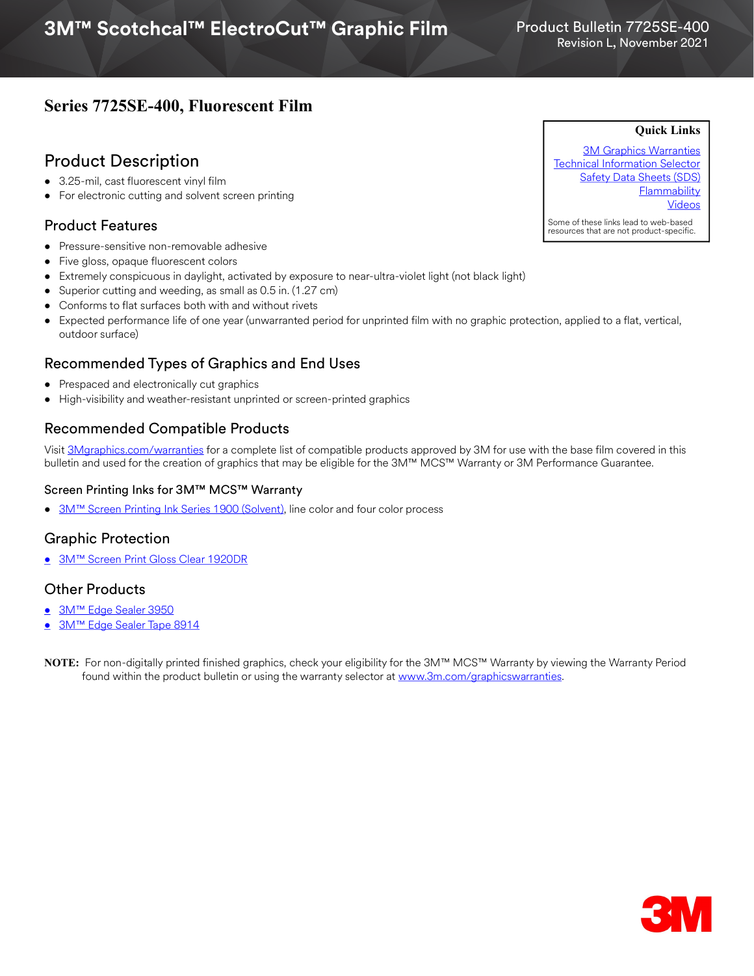## **Series 7725SE-400, Fluorescent Film**

## Product Description

- 3.25-mil, cast fluorescent vinyl film
- For electronic cutting and solvent screen printing

## Product Features

- Pressure-sensitive non-removable adhesive
- Five gloss, opaque fluorescent colors
- Extremely conspicuous in daylight, activated by exposure to near-ultra-violet light (not black light)
- Superior cutting and weeding, as small as 0.5 in. (1.27 cm)
- Conforms to flat surfaces both with and without rivets
- Expected performance life of one year (unwarranted period for unprinted film with no graphic protection, applied to a flat, vertical, outdoor surface)

## Recommended Types of Graphics and End Uses

- Prespaced and electronically cut graphics
- High-visibility and weather-resistant unprinted or screen-printed graphics

## Recommended Compatible Products

Visit [3Mgraphics.com/warranties](http://solutions.3m.com/wps/portal/3M/en_US/Graphics/3Mgraphics/ToolsandSupport/Warranties/?WT.mc_id=www.3mgraphics.com/warranties) for a complete list of compatible products approved by 3M for use with the base film covered in this bulletin and used for the creation of graphics that may be eligible for the 3M™ MCS™ Warranty or 3M Performance Guarantee.

#### Screen Printing Inks for 3M™ MCS™ Warranty

• 3M<sup>™</sup> Screen Printing Ink Series 1900 (Solvent), line color and four color process

## Graphic Protection

• [3M™ Screen Print Gloss Clear 1920DR](http://multimedia.3m.com/mws/media/12348O/1900-solvent-screen-print-ink-line-and-four-color-clears.pdf)

### Other Products

- [3M™ Edge Sealer 3950](http://multimedia.3m.com/mws/media/114158O/edge-sealer-3950-4150s-and-edge-sealer-tape-8914.pdf)
- [3M™ Edge Sealer Tape 8914](https://multimedia.3m.com/mws/media/114158O/edge-sealer-3950-4150s-and-edge-sealer-tape-8914.pdf)



[3M Graphics Warranties](http://solutions.3m.com/wps/portal/3M/en_US/Graphics/3Mgraphics/ToolsandSupport/Warranties/?WT.mc_id=www.3mgraphics.com/warranties) [Technical Information Selector](http://solutions.3m.com/wps/portal/3M/en_US/Graphics/3Mgraphics/ToolsAndSupport/TechnicalInformation/) **[Safety Data Sheets \(SDS\)](http://solutions.3m.com/wps/portal/3M/en_WW/MSDS/Search?gsaAction=msdsSRA) Flammability** [Videos](https://www.youtube.com/channel/UCtW5XL5sVF-26Omo6OlUSvQ)

**Quick Links**

Some of these links lead to web-based resources that are not product-specific.

**NOTE:** For non-digitally printed finished graphics, check your eligibility for the 3M™ MCS™ Warranty by viewing the Warranty Period found within the product bulletin or using the warranty selector at <www.3m.com/graphicswarranties>.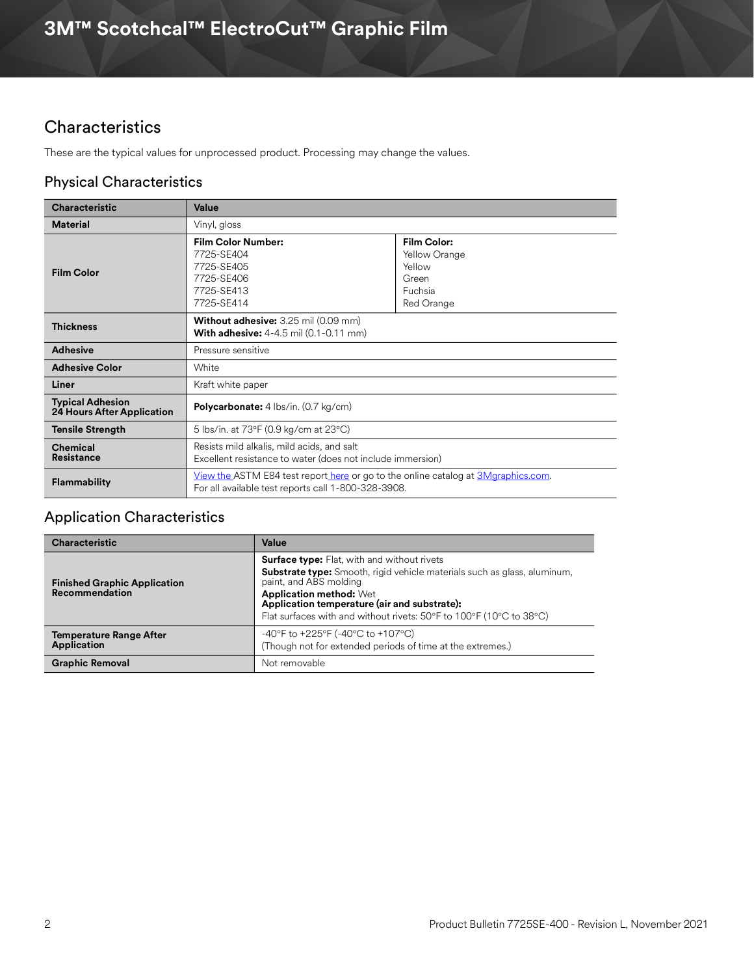# **Characteristics**

These are the typical values for unprocessed product. Processing may change the values.

## Physical Characteristics

| <b>Characteristic</b>                                        | Value                                                                                                                                           |                                                                          |
|--------------------------------------------------------------|-------------------------------------------------------------------------------------------------------------------------------------------------|--------------------------------------------------------------------------|
| <b>Material</b>                                              | Vinyl, gloss                                                                                                                                    |                                                                          |
| <b>Film Color</b>                                            | <b>Film Color Number:</b><br>7725-SE404<br>7725-SE405<br>7725-SE406<br>7725-SE413<br>7725-SE414                                                 | Film Color:<br>Yellow Orange<br>Yellow<br>Green<br>Fuchsia<br>Red Orange |
| <b>Thickness</b>                                             | <b>Without adhesive:</b> 3.25 mil (0.09 mm)<br><b>With adhesive:</b> 4-4.5 mil (0.1-0.11 mm)                                                    |                                                                          |
| <b>Adhesive</b>                                              | Pressure sensitive                                                                                                                              |                                                                          |
| <b>Adhesive Color</b>                                        | White                                                                                                                                           |                                                                          |
| Liner                                                        | Kraft white paper                                                                                                                               |                                                                          |
| <b>Typical Adhesion</b><br><b>24 Hours After Application</b> | <b>Polycarbonate:</b> 4 lbs/in. (0.7 kg/cm)                                                                                                     |                                                                          |
| <b>Tensile Strength</b>                                      | 5 lbs/in. at 73°F (0.9 kg/cm at 23°C)                                                                                                           |                                                                          |
| Chemical<br><b>Resistance</b>                                | Resists mild alkalis, mild acids, and salt<br>Excellent resistance to water (does not include immersion)                                        |                                                                          |
| <b>Flammability</b>                                          | <u>View the</u> ASTM E84 test report here or go to the online catalog at 3Mgraphics.com.<br>For all available test reports call 1-800-328-3908. |                                                                          |

## Application Characteristics

| <b>Characteristic</b>                                 | Value                                                                                                                                                                                                                                                                                                                    |  |
|-------------------------------------------------------|--------------------------------------------------------------------------------------------------------------------------------------------------------------------------------------------------------------------------------------------------------------------------------------------------------------------------|--|
| <b>Finished Graphic Application</b><br>Recommendation | <b>Surface type:</b> Flat, with and without rivets<br><b>Substrate type:</b> Smooth, rigid vehicle materials such as glass, aluminum,<br>paint, and ABS molding<br><b>Application method: Wet</b><br>Application temperature (air and substrate):<br>Flat surfaces with and without rivets: 50°F to 100°F (10°C to 38°C) |  |
| <b>Temperature Range After</b><br><b>Application</b>  | -40°F to +225°F (-40°C to +107°C)<br>(Though not for extended periods of time at the extremes.)                                                                                                                                                                                                                          |  |
| <b>Graphic Removal</b><br>Not removable               |                                                                                                                                                                                                                                                                                                                          |  |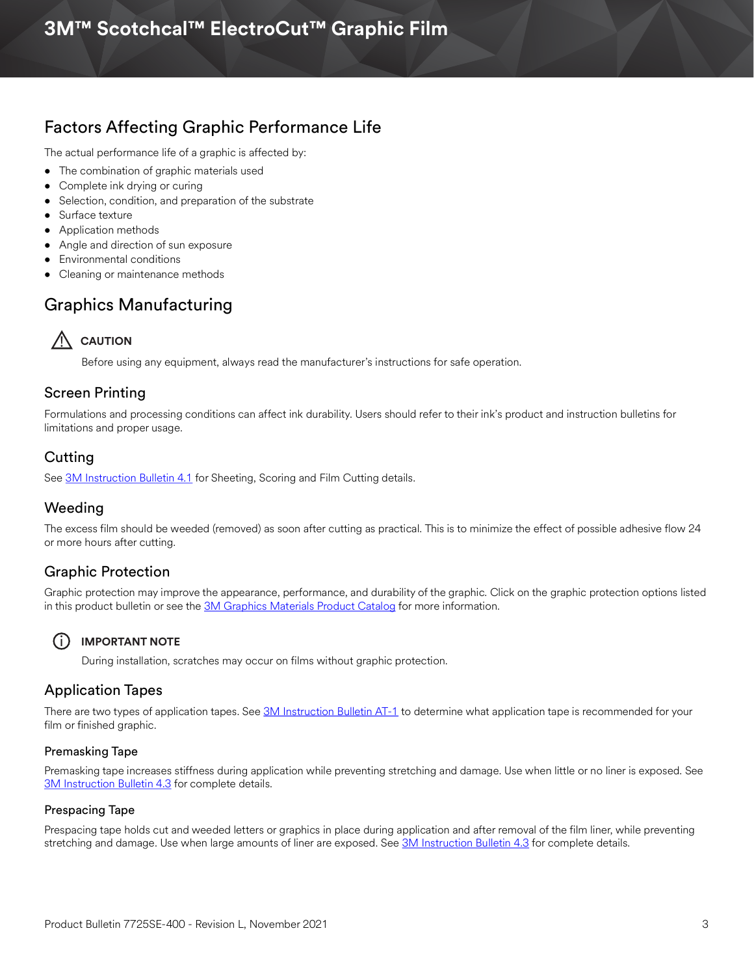# **3M™ Scotchcal™ ElectroCut™ Graphic Film**

# Factors Affecting Graphic Performance Life

The actual performance life of a graphic is affected by:

- The combination of graphic materials used
- Complete ink drying or curing
- Selection, condition, and preparation of the substrate
- Surface texture
- Application methods
- Angle and direction of sun exposure
- Environmental conditions
- Cleaning or maintenance methods

## Graphics Manufacturing



Before using any equipment, always read the manufacturer's instructions for safe operation.

### Screen Printing

Formulations and processing conditions can affect ink durability. Users should refer to their ink's product and instruction bulletins for limitations and proper usage.

## Cutting

See [3M Instruction Bulletin 4.1](http://multimedia.3m.com/mws/media/12586O/4-1-scoring-and-cutting.pdf) for Sheeting, Scoring and Film Cutting details.

### Weeding

The excess film should be weeded (removed) as soon after cutting as practical. This is to minimize the effect of possible adhesive flow 24 or more hours after cutting.

## Graphic Protection

Graphic protection may improve the appearance, performance, and durability of the graphic. Click on the graphic protection options listed in this product bulletin or see the [3M Graphics Materials Product Catalog](http://multimedia.3m.com/mws/media/443279O/inkjet-catalog-lowres.pdf) for more information.



#### i **IMPORTANT NOTE**

During installation, scratches may occur on films without graphic protection.

### Application Tapes

There are two types of application tapes. See [3M Instruction Bulletin AT-1](http://multimedia.3m.com/mws/media/1032943O/instruction-bulletin-at-1-application-tables.pdf) to determine what application tape is recommended for your film or finished graphic.

#### Premasking Tape

Premasking tape increases stiffness during application while preventing stretching and damage. Use when little or no liner is exposed. See [3M Instruction Bulletin 4.3](http://multimedia.3m.com/mws/media/12587O/4-3-application-tapes-premasking-and-prespacing.pdf) for complete details.

#### Prespacing Tape

Prespacing tape holds cut and weeded letters or graphics in place during application and after removal of the film liner, while preventing stretching and damage. Use when large amounts of liner are exposed. See [3M Instruction Bulletin 4.3](http://multimedia.3m.com/mws/media/12587O/4-3-application-tapes-premasking-and-prespacing.pdf) for complete details.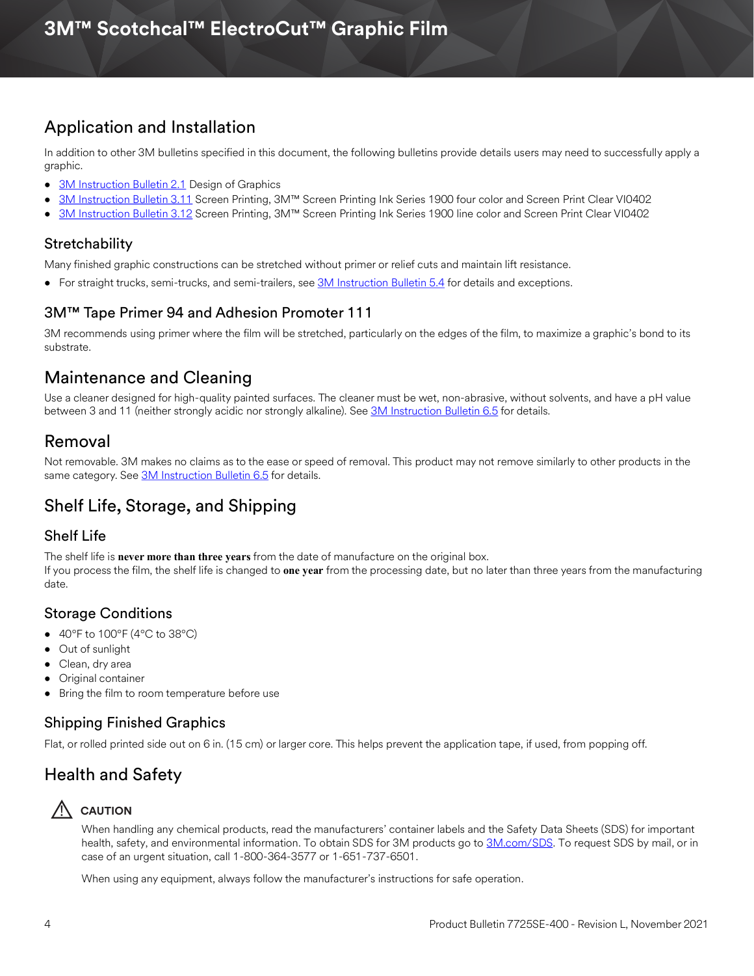# Application and Installation

In addition to other 3M bulletins specified in this document, the following bulletins provide details users may need to successfully apply a graphic.

- [3M Instruction Bulletin 2.1](http://multimedia.3m.com/mws/media/12591O/2-1-design-of-graphics.pdf) Design of Graphics
- [3M Instruction Bulletin 3.11](http://multimedia.3m.com/mws/media/12713O/3-11-screen-printing-with-ink-series-1900-four-color.pdf) Screen Printing, 3M™ Screen Printing Ink Series 1900 four color and Screen Print Clear VI0402
- [3M Instruction Bulletin 3.12](http://multimedia.3m.com/mws/media/12714O/3-12-screen-printing-with-ink-series-1900-line-color.pdf) Screen Printing, 3M™ Screen Printing Ink Series 1900 line color and Screen Print Clear VI0402

### **Stretchability**

Many finished graphic constructions can be stretched without primer or relief cuts and maintain lift resistance.

• For straight trucks, semi-trucks, and semi-trailers, see [3M Instruction Bulletin 5.4](http://multimedia.3m.com/mws/media/12597O/5-4-application-of-film-to-vehicles-special-applications.pdf) for details and exceptions.

## 3M™ Tape Primer 94 and Adhesion Promoter 111

3M recommends using primer where the film will be stretched, particularly on the edges of the film, to maximize a graphic's bond to its substrate.

# Maintenance and Cleaning

Use a cleaner designed for high-quality painted surfaces. The cleaner must be wet, non-abrasive, without solvents, and have a pH value between 3 and 11 (neither strongly acidic nor strongly alkaline). See [3M Instruction Bulletin 6.5](http://multimedia.3m.com/mws/media/12593O/6-5-storage-handling-maintenance-removal-of-films-sheetings.pdf) for details.

## Removal

Not removable. 3M makes no claims as to the ease or speed of removal. This product may not remove similarly to other products in the same category. See [3M Instruction Bulletin 6.5](http://multimedia.3m.com/mws/media/12593O/6-5-storage-handling-maintenance-removal-of-films-sheetings.pdf) for details.

# Shelf Life, Storage, and Shipping

## Shelf Life

The shelf life is **never more than three years** from the date of manufacture on the original box. If you process the film, the shelf life is changed to **one year** from the processing date, but no later than three years from the manufacturing date.

## Storage Conditions

- $\bullet$  40°F to 100°F (4°C to 38°C)
- Out of sunlight
- Clean, dry area
- Original container
- Bring the film to room temperature before use

## Shipping Finished Graphics

Flat, or rolled printed side out on 6 in. (15 cm) or larger core. This helps prevent the application tape, if used, from popping off.

# Health and Safety



## ! **CAUTION**

When handling any chemical products, read the manufacturers' container labels and the Safety Data Sheets (SDS) for important health, safety, and environmental information. To obtain SDS for 3M products go to [3M.com/SDS](http://www.3m.com/SDS). To request SDS by mail, or in case of an urgent situation, call 1-800-364-3577 or 1-651-737-6501.

When using any equipment, always follow the manufacturer's instructions for safe operation.